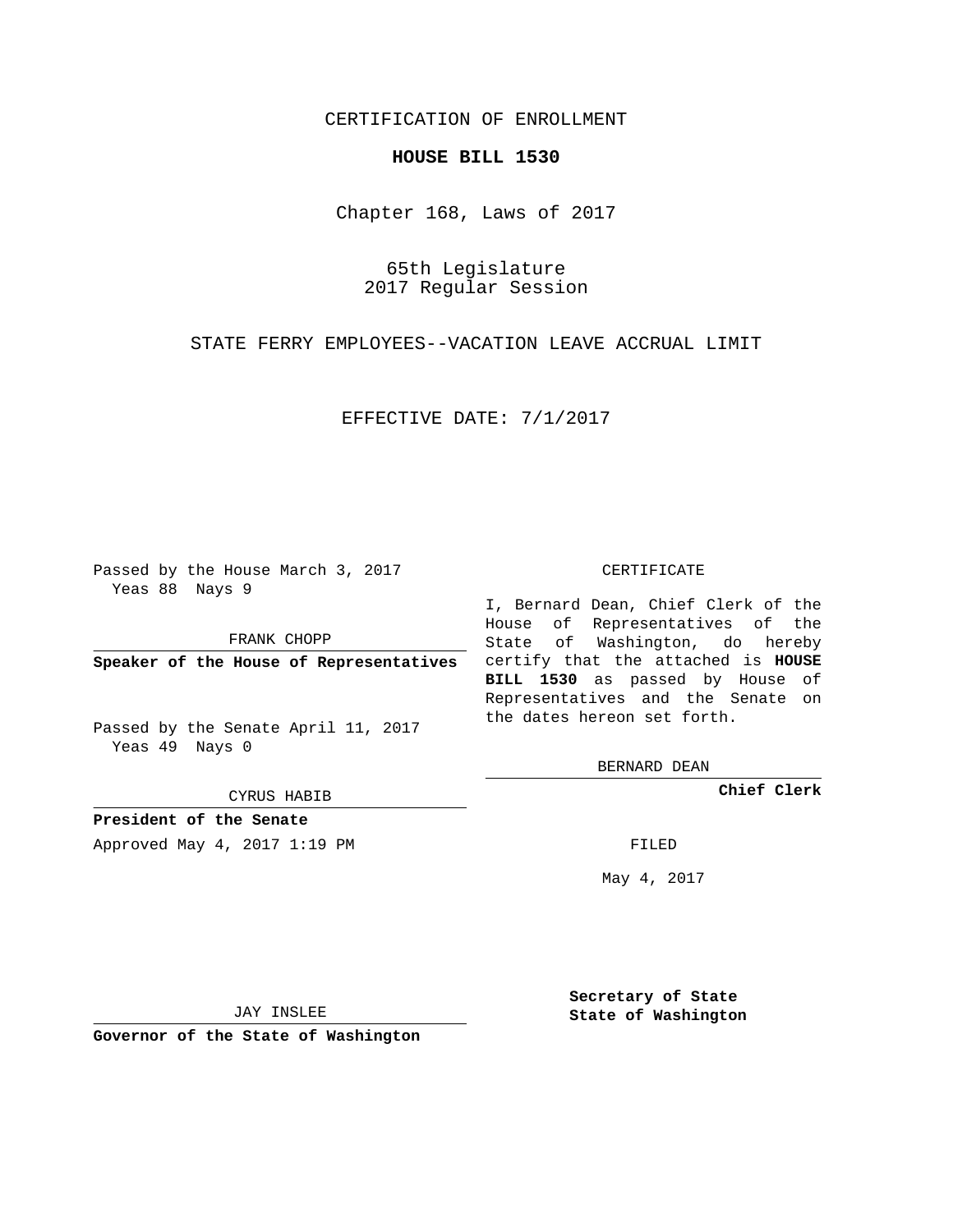## CERTIFICATION OF ENROLLMENT

## **HOUSE BILL 1530**

Chapter 168, Laws of 2017

65th Legislature 2017 Regular Session

STATE FERRY EMPLOYEES--VACATION LEAVE ACCRUAL LIMIT

EFFECTIVE DATE: 7/1/2017

Passed by the House March 3, 2017 Yeas 88 Nays 9

FRANK CHOPP

Passed by the Senate April 11, 2017 Yeas 49 Nays 0

CYRUS HABIB

**President of the Senate**

Approved May 4, 2017 1:19 PM FILED

## CERTIFICATE

**Speaker of the House of Representatives** certify that the attached is **HOUSE** I, Bernard Dean, Chief Clerk of the House of Representatives of the State of Washington, do hereby **BILL 1530** as passed by House of Representatives and the Senate on the dates hereon set forth.

BERNARD DEAN

**Chief Clerk**

May 4, 2017

JAY INSLEE

**Governor of the State of Washington**

**Secretary of State State of Washington**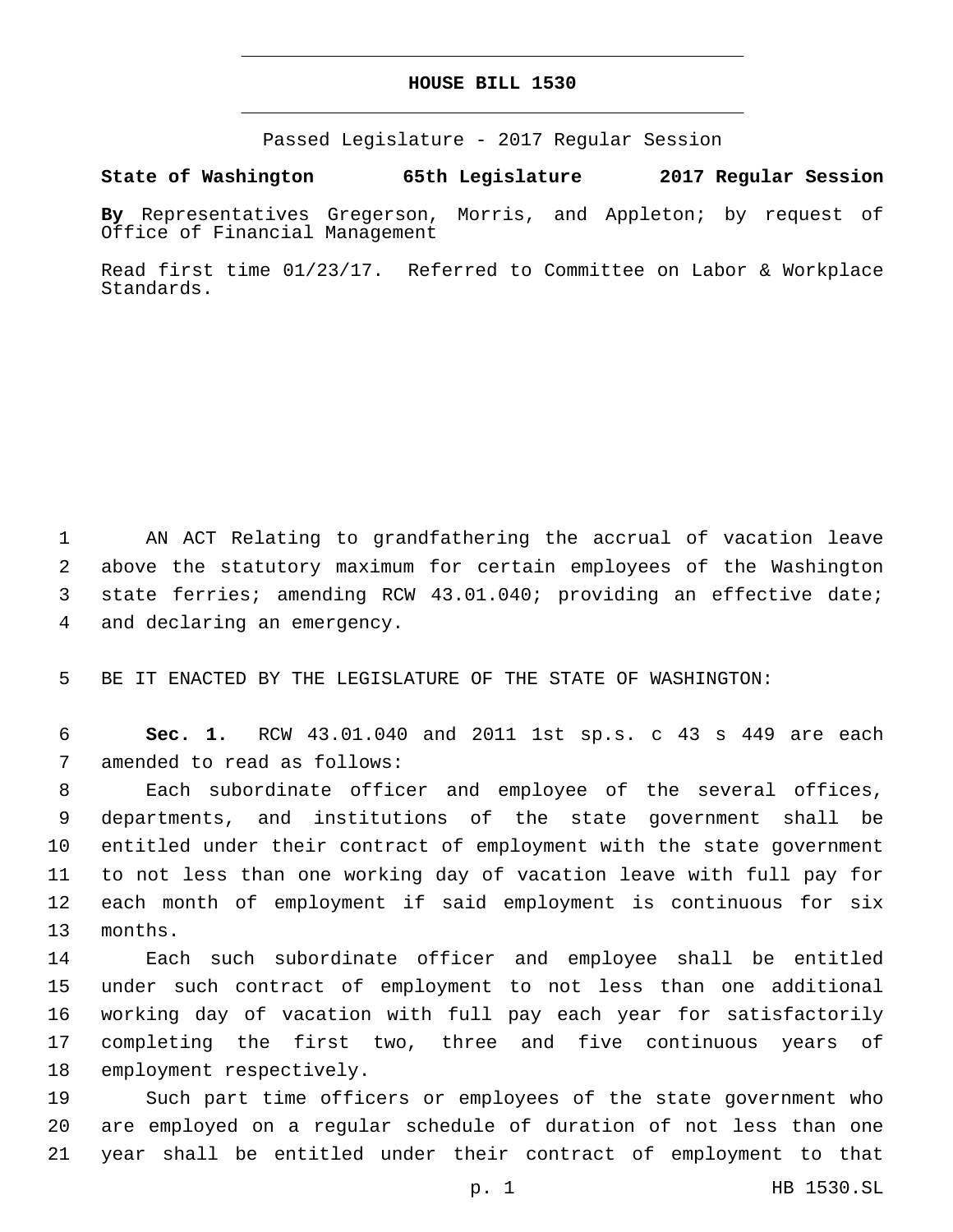## **HOUSE BILL 1530**

Passed Legislature - 2017 Regular Session

**State of Washington 65th Legislature 2017 Regular Session**

**By** Representatives Gregerson, Morris, and Appleton; by request of Office of Financial Management

Read first time 01/23/17. Referred to Committee on Labor & Workplace Standards.

 AN ACT Relating to grandfathering the accrual of vacation leave above the statutory maximum for certain employees of the Washington state ferries; amending RCW 43.01.040; providing an effective date; 4 and declaring an emergency.

5 BE IT ENACTED BY THE LEGISLATURE OF THE STATE OF WASHINGTON:

6 **Sec. 1.** RCW 43.01.040 and 2011 1st sp.s. c 43 s 449 are each 7 amended to read as follows:

 Each subordinate officer and employee of the several offices, departments, and institutions of the state government shall be entitled under their contract of employment with the state government to not less than one working day of vacation leave with full pay for each month of employment if said employment is continuous for six 13 months.

 Each such subordinate officer and employee shall be entitled under such contract of employment to not less than one additional working day of vacation with full pay each year for satisfactorily completing the first two, three and five continuous years of 18 employment respectively.

19 Such part time officers or employees of the state government who 20 are employed on a regular schedule of duration of not less than one 21 year shall be entitled under their contract of employment to that